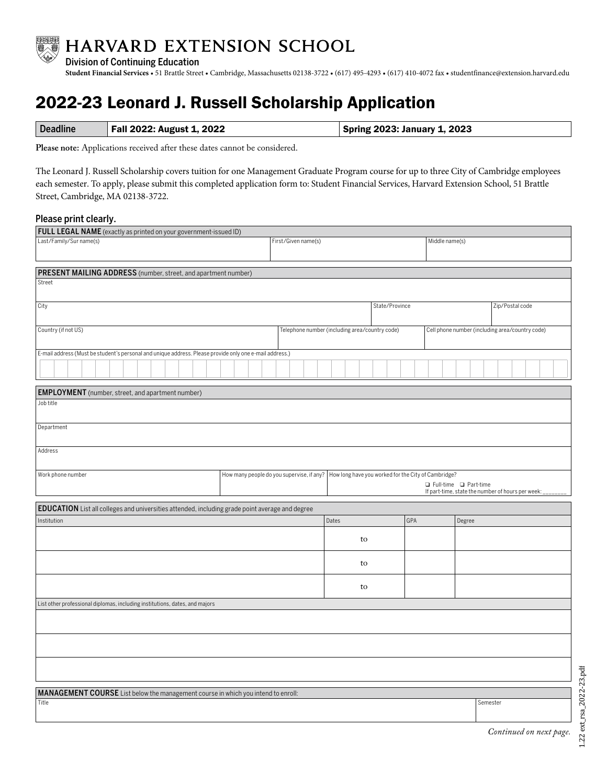

**Student Financial Services** • 51 Brattle Street • Cambridge, Massachusetts 02138-3722 • (617) 495-4293 • (617) 410-4072 fax • studentfinance@extension.harvard.edu

## 2022-23 Leonard J. Russell Scholarship Application

| Deadline | Fall 2022: August 1, 2022 | <b>Spring 2023: January 1, 2023</b> |
|----------|---------------------------|-------------------------------------|
|          |                           |                                     |

**Please note:** Applications received after these dates cannot be considered.

The Leonard J. Russell Scholarship covers tuition for one Management Graduate Program course for up to three City of Cambridge employees each semester. To apply, please submit this completed application form to: Student Financial Services, Harvard Extension School, 51 Brattle Street, Cambridge, MA 02138-3722.

## Please print clearly.

| FULL LEGAL NAME (exactly as printed on your government-issued ID)                                       |                                           |                                                |                                                                              |                                                     |                 |                                                 |  |  |  |
|---------------------------------------------------------------------------------------------------------|-------------------------------------------|------------------------------------------------|------------------------------------------------------------------------------|-----------------------------------------------------|-----------------|-------------------------------------------------|--|--|--|
| Last/Family/Sur name(s)                                                                                 | First/Given name(s)                       |                                                |                                                                              | Middle name(s)                                      |                 |                                                 |  |  |  |
|                                                                                                         |                                           |                                                |                                                                              |                                                     |                 |                                                 |  |  |  |
|                                                                                                         |                                           |                                                |                                                                              |                                                     |                 |                                                 |  |  |  |
| PRESENT MAILING ADDRESS (number, street, and apartment number)<br>Street                                |                                           |                                                |                                                                              |                                                     |                 |                                                 |  |  |  |
|                                                                                                         |                                           |                                                |                                                                              |                                                     |                 |                                                 |  |  |  |
| City                                                                                                    |                                           |                                                | State/Province                                                               |                                                     | Zip/Postal code |                                                 |  |  |  |
|                                                                                                         |                                           |                                                |                                                                              |                                                     |                 |                                                 |  |  |  |
| Country (if not US)                                                                                     |                                           | Telephone number (including area/country code) |                                                                              |                                                     |                 | Cell phone number (including area/country code) |  |  |  |
|                                                                                                         |                                           |                                                |                                                                              |                                                     |                 |                                                 |  |  |  |
| E-mail address (Must be student's personal and unique address. Please provide only one e-mail address.) |                                           |                                                |                                                                              |                                                     |                 |                                                 |  |  |  |
|                                                                                                         |                                           |                                                |                                                                              |                                                     |                 |                                                 |  |  |  |
|                                                                                                         |                                           |                                                |                                                                              |                                                     |                 |                                                 |  |  |  |
| <b>EMPLOYMENT</b> (number, street, and apartment number)                                                |                                           |                                                |                                                                              |                                                     |                 |                                                 |  |  |  |
| Job title                                                                                               |                                           |                                                |                                                                              |                                                     |                 |                                                 |  |  |  |
|                                                                                                         |                                           |                                                |                                                                              |                                                     |                 |                                                 |  |  |  |
| Department                                                                                              |                                           |                                                |                                                                              |                                                     |                 |                                                 |  |  |  |
|                                                                                                         |                                           |                                                |                                                                              |                                                     |                 |                                                 |  |  |  |
| Address                                                                                                 |                                           |                                                |                                                                              |                                                     |                 |                                                 |  |  |  |
|                                                                                                         |                                           |                                                |                                                                              |                                                     |                 |                                                 |  |  |  |
| Work phone number                                                                                       | How many people do you supervise, if any? |                                                |                                                                              | How long have you worked for the City of Cambridge? |                 |                                                 |  |  |  |
|                                                                                                         |                                           |                                                | □ Full-time □ Part-time<br>If part-time, state the number of hours per week: |                                                     |                 |                                                 |  |  |  |
|                                                                                                         |                                           |                                                |                                                                              |                                                     |                 |                                                 |  |  |  |
| EDUCATION List all colleges and universities attended, including grade point average and degree         |                                           |                                                |                                                                              |                                                     |                 |                                                 |  |  |  |
| Institution                                                                                             |                                           |                                                | Dates                                                                        | GPA                                                 | Degree          |                                                 |  |  |  |
|                                                                                                         |                                           |                                                | to                                                                           |                                                     |                 |                                                 |  |  |  |
|                                                                                                         |                                           |                                                |                                                                              |                                                     |                 |                                                 |  |  |  |
|                                                                                                         |                                           |                                                | to                                                                           |                                                     |                 |                                                 |  |  |  |
|                                                                                                         |                                           |                                                |                                                                              |                                                     |                 |                                                 |  |  |  |
|                                                                                                         |                                           |                                                | to                                                                           |                                                     |                 |                                                 |  |  |  |
| List other professional diplomas, including institutions, dates, and majors                             |                                           |                                                |                                                                              |                                                     |                 |                                                 |  |  |  |
|                                                                                                         |                                           |                                                |                                                                              |                                                     |                 |                                                 |  |  |  |
|                                                                                                         |                                           |                                                |                                                                              |                                                     |                 |                                                 |  |  |  |
|                                                                                                         |                                           |                                                |                                                                              |                                                     |                 |                                                 |  |  |  |
|                                                                                                         |                                           |                                                |                                                                              |                                                     |                 |                                                 |  |  |  |
|                                                                                                         |                                           |                                                |                                                                              |                                                     |                 |                                                 |  |  |  |
|                                                                                                         |                                           |                                                |                                                                              |                                                     |                 |                                                 |  |  |  |
|                                                                                                         |                                           |                                                |                                                                              |                                                     |                 |                                                 |  |  |  |
| MANAGEMENT COURSE List below the management course in which you intend to enroll:<br>Title<br>Semester  |                                           |                                                |                                                                              |                                                     |                 |                                                 |  |  |  |
|                                                                                                         |                                           |                                                |                                                                              |                                                     |                 |                                                 |  |  |  |
|                                                                                                         |                                           |                                                |                                                                              |                                                     |                 |                                                 |  |  |  |